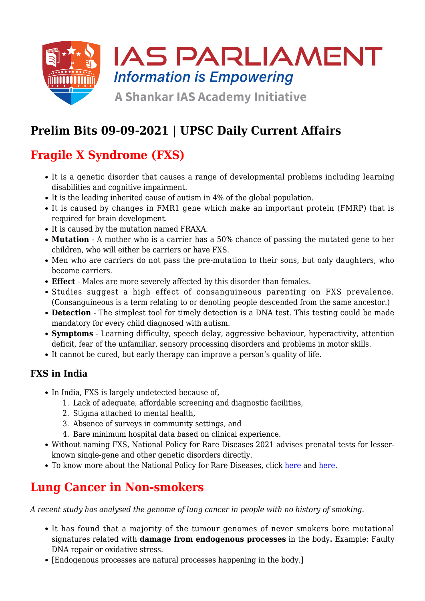

# **Prelim Bits 09-09-2021 | UPSC Daily Current Affairs**

# **Fragile X Syndrome (FXS)**

- It is a genetic disorder that causes a range of developmental problems including learning disabilities and cognitive impairment.
- It is the leading inherited cause of autism in 4% of the global population.
- It is caused by changes in FMR1 gene which make an important protein (FMRP) that is required for brain development.
- It is caused by the mutation named FRAXA.
- **Mutation**  A mother who is a carrier has a 50% chance of passing the mutated gene to her children, who will either be carriers or have FXS.
- Men who are carriers do not pass the pre-mutation to their sons, but only daughters, who become carriers.
- **Effect** Males are more severely affected by this disorder than females.
- Studies suggest a high effect of consanguineous parenting on FXS prevalence. (Consanguineous is a term relating to or denoting people descended from the same ancestor.)
- **Detection** The simplest tool for timely detection is a DNA test. This testing could be made mandatory for every child diagnosed with autism.
- **Symptoms** Learning difficulty, speech delay, aggressive behaviour, hyperactivity, attention deficit, fear of the unfamiliar, sensory processing disorders and problems in motor skills.
- It cannot be cured, but early therapy can improve a person's quality of life.

#### **FXS in India**

- In India, FXS is largely undetected because of,
	- 1. Lack of adequate, affordable screening and diagnostic facilities,
	- 2. Stigma attached to mental health,
	- 3. Absence of surveys in community settings, and
	- 4. Bare minimum hospital data based on clinical experience.
- Without naming FXS, National Policy for Rare Diseases 2021 advises prenatal tests for lesserknown single-gene and other genetic disorders directly.
- To know more about the National Policy for Rare Diseases, click [here](https://www.iasparliament.com/current-affairs/upsc-daily-current-affairs-prelim-bits-22-04-2021) and [here.](https://www.iasparliament.com/current-affairs/national-policy-for-rare-diseases-2021)

#### **Lung Cancer in Non-smokers**

*A recent study has analysed the genome of lung cancer in people with no history of smoking.*

- It has found that a majority of the tumour genomes of never smokers bore mutational signatures related with **damage from endogenous processes** in the body**.** Example: Faulty DNA repair or oxidative stress.
- [Endogenous processes are natural processes happening in the body.]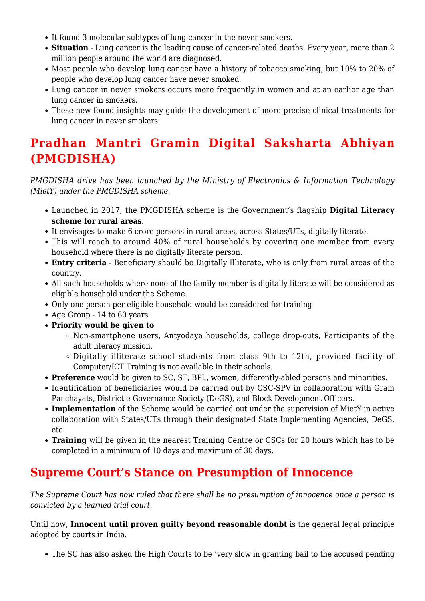- It found 3 molecular subtypes of lung cancer in the never smokers.
- **Situation** Lung cancer is the leading cause of cancer-related deaths. Every year, more than 2 million people around the world are diagnosed.
- Most people who develop lung cancer have a history of tobacco smoking, but 10% to 20% of people who develop lung cancer have never smoked.
- Lung cancer in never smokers occurs more frequently in women and at an earlier age than lung cancer in smokers.
- These new found insights may guide the development of more precise clinical treatments for lung cancer in never smokers.

### **Pradhan Mantri Gramin Digital Saksharta Abhiyan (PMGDISHA)**

*PMGDISHA drive has been launched by the Ministry of Electronics & Information Technology (MietY) under the PMGDISHA scheme.*

- Launched in 2017, the PMGDISHA scheme is the Government's flagship **Digital Literacy scheme for rural areas**.
- It envisages to make 6 crore persons in rural areas, across States/UTs, digitally literate.
- This will reach to around 40% of rural households by covering one member from every household where there is no digitally literate person.
- **Entry criteria** Beneficiary should be Digitally Illiterate, who is only from rural areas of the country.
- All such households where none of the family member is digitally literate will be considered as eligible household under the Scheme.
- Only one person per eligible household would be considered for training
- Age Group 14 to 60 years
- **Priority would be given to**
	- Non-smartphone users, Antyodaya households, college drop-outs, Participants of the adult literacy mission.
	- Digitally illiterate school students from class 9th to 12th, provided facility of Computer/ICT Training is not available in their schools.
- **Preference** would be given to SC, ST, BPL, women, differently-abled persons and minorities.
- Identification of beneficiaries would be carried out by CSC-SPV in collaboration with Gram Panchayats, District e-Governance Society (DeGS), and Block Development Officers.
- **Implementation** of the Scheme would be carried out under the supervision of MietY in active collaboration with States/UTs through their designated State Implementing Agencies, DeGS, etc.
- **Training** will be given in the nearest Training Centre or CSCs for 20 hours which has to be completed in a minimum of 10 days and maximum of 30 days.

#### **Supreme Court's Stance on Presumption of Innocence**

*The Supreme Court has now ruled that there shall be no presumption of innocence once a person is convicted by a learned trial court.*

Until now, **Innocent until proven guilty beyond reasonable doubt** is the general legal principle adopted by courts in India.

The SC has also asked the High Courts to be 'very slow in granting bail to the accused pending